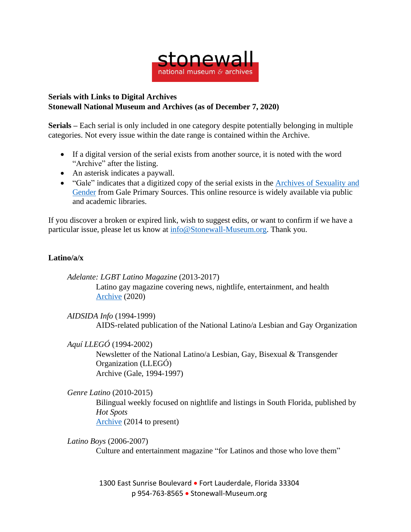

## **Serials with Links to Digital Archives Stonewall National Museum and Archives (as of December 7, 2020)**

**Serials –** Each serial is only included in one category despite potentially belonging in multiple categories. Not every issue within the date range is contained within the Archive.

- If a digital version of the serial exists from another source, it is noted with the word "Archive" after the listing.
- An asterisk indicates a paywall.
- "Gale" indicates that a digitized copy of the serial exists in the Archives of [Sexuality](https://www.gale.com/primary-sources/archives-of-sexuality-and-gender) and [Gender](https://www.gale.com/primary-sources/archives-of-sexuality-and-gender) from Gale Primary Sources. This online resource is widely available via public and academic libraries.

If you discover a broken or expired link, wish to suggest edits, or want to confirm if we have a particular issue, please let us know at [info@Stonewall-Museum.org.](mailto:info@Stonewall-Museum.org) Thank you.

## **Latino/a/x**

*Adelante: LGBT Latino Magazine* (2013-2017) Latino gay magazine covering news, nightlife, entertainment, and health [Archive](http://adelantemagazine.com/magazines/) (2020)

*AIDSIDA Info* (1994-1999) AIDS-related publication of the National Latino/a Lesbian and Gay Organization

*Aquí LLEGÓ* (1994-2002) Newsletter of the National Latino/a Lesbian, Gay, Bisexual & Transgender Organization (LLEGÓ) Archive (Gale, 1994-1997)

## *Genre Latino* (2010-2015)

Bilingual weekly focused on nightlife and listings in South Florida, published by *Hot Spots* [Archive](https://issuu.com/hotspotsmediagroup) (2014 to present)

*Latino Boys* (2006-2007)

Culture and entertainment magazine "for Latinos and those who love them"

1300 East Sunrise Boulevard • Fort Lauderdale, Florida 33304 p 954-763-8565 • Stonewall-Museum.org